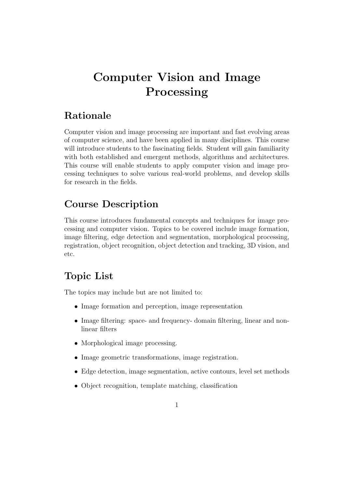# Computer Vision and Image Processing

#### Rationale

Computer vision and image processing are important and fast evolving areas of computer science, and have been applied in many disciplines. This course will introduce students to the fascinating fields. Student will gain familiarity with both established and emergent methods, algorithms and architectures. This course will enable students to apply computer vision and image processing techniques to solve various real-world problems, and develop skills for research in the fields.

## Course Description

This course introduces fundamental concepts and techniques for image processing and computer vision. Topics to be covered include image formation, image filtering, edge detection and segmentation, morphological processing, registration, object recognition, object detection and tracking, 3D vision, and etc.

### Topic List

The topics may include but are not limited to:

- Image formation and perception, image representation
- Image filtering: space- and frequency- domain filtering, linear and nonlinear filters
- Morphological image processing.
- Image geometric transformations, image registration.
- Edge detection, image segmentation, active contours, level set methods
- Object recognition, template matching, classification